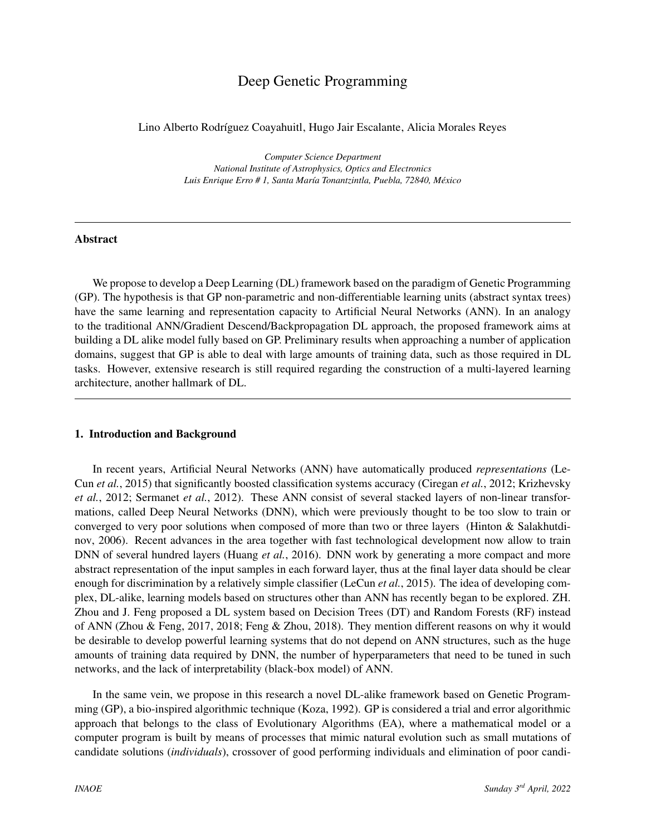# Deep Genetic Programming

Lino Alberto Rodríguez Coayahuitl, Hugo Jair Escalante, Alicia Morales Reyes

*Computer Science Department National Institute of Astrophysics, Optics and Electronics Luis Enrique Erro # 1, Santa Mar´ıa Tonantzintla, Puebla, 72840, Mexico ´*

### Abstract

We propose to develop a Deep Learning (DL) framework based on the paradigm of Genetic Programming (GP). The hypothesis is that GP non-parametric and non-differentiable learning units (abstract syntax trees) have the same learning and representation capacity to Artificial Neural Networks (ANN). In an analogy to the traditional ANN/Gradient Descend/Backpropagation DL approach, the proposed framework aims at building a DL alike model fully based on GP. Preliminary results when approaching a number of application domains, suggest that GP is able to deal with large amounts of training data, such as those required in DL tasks. However, extensive research is still required regarding the construction of a multi-layered learning architecture, another hallmark of DL.

## 1. Introduction and Background

In recent years, Artificial Neural Networks (ANN) have automatically produced *representations* [\(Le-](#page-2-0)Cun *[et al.](#page-2-0)*, [2015\)](#page-2-0) that significantly boosted classification systems accuracy [\(Ciregan](#page-2-1) *et al.*, [2012;](#page-2-1) [Krizhevsky](#page-2-2) *[et al.](#page-2-2)*, [2012;](#page-2-2) [Sermanet](#page-2-3) *et al.*, [2012\)](#page-2-3). These ANN consist of several stacked layers of non-linear transformations, called Deep Neural Networks (DNN), which were previously thought to be too slow to train or converged to very poor solutions when composed of more than two or three layers [\(Hinton & Salakhutdi](#page-2-4)[nov,](#page-2-4) [2006\)](#page-2-4). Recent advances in the area together with fast technological development now allow to train DNN of several hundred layers [\(Huang](#page-2-5) *et al.*, [2016\)](#page-2-5). DNN work by generating a more compact and more abstract representation of the input samples in each forward layer, thus at the final layer data should be clear enough for discrimination by a relatively simple classifier [\(LeCun](#page-2-0) *et al.*, [2015\)](#page-2-0). The idea of developing complex, DL-alike, learning models based on structures other than ANN has recently began to be explored. ZH. Zhou and J. Feng proposed a DL system based on Decision Trees (DT) and Random Forests (RF) instead of ANN [\(Zhou & Feng,](#page-2-6) [2017,](#page-2-6) [2018;](#page-2-7) [Feng & Zhou,](#page-2-8) [2018\)](#page-2-8). They mention different reasons on why it would be desirable to develop powerful learning systems that do not depend on ANN structures, such as the huge amounts of training data required by DNN, the number of hyperparameters that need to be tuned in such networks, and the lack of interpretability (black-box model) of ANN.

In the same vein, we propose in this research a novel DL-alike framework based on Genetic Programming (GP), a bio-inspired algorithmic technique [\(Koza,](#page-2-9) [1992\)](#page-2-9). GP is considered a trial and error algorithmic approach that belongs to the class of Evolutionary Algorithms (EA), where a mathematical model or a computer program is built by means of processes that mimic natural evolution such as small mutations of candidate solutions (*individuals*), crossover of good performing individuals and elimination of poor candi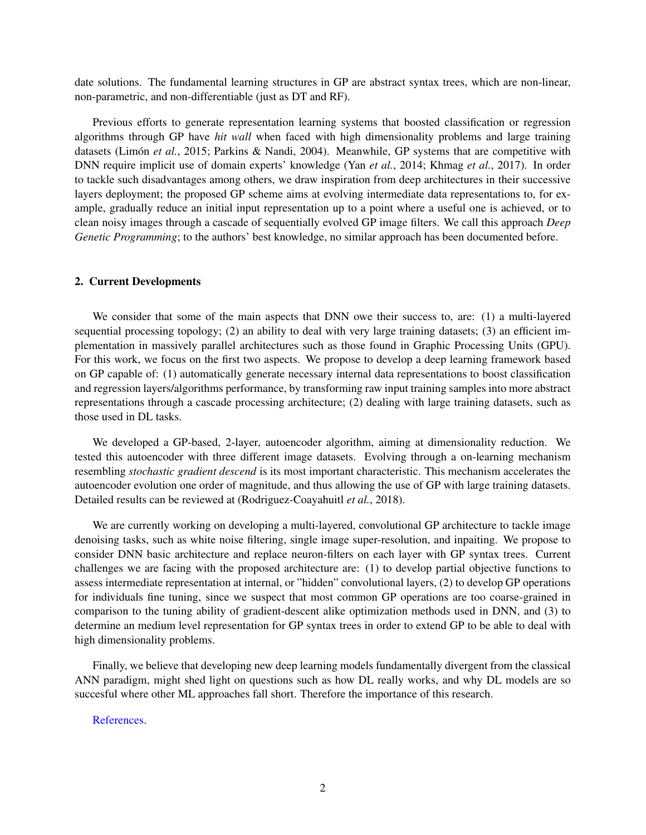date solutions. The fundamental learning structures in GP are abstract syntax trees, which are non-linear, non-parametric, and non-differentiable (just as DT and RF).

Previous efforts to generate representation learning systems that boosted classification or regression algorithms through GP have *hit wall* when faced with high dimensionality problems and large training datasets (Limón et al., [2015;](#page-2-10) [Parkins & Nandi,](#page-2-11) [2004\)](#page-2-11). Meanwhile, GP systems that are competitive with DNN require implicit use of domain experts' knowledge (Yan *[et al.](#page-2-12)*, [2014;](#page-2-12) [Khmag](#page-2-13) *et al.*, [2017\)](#page-2-13). In order to tackle such disadvantages among others, we draw inspiration from deep architectures in their successive layers deployment; the proposed GP scheme aims at evolving intermediate data representations to, for example, gradually reduce an initial input representation up to a point where a useful one is achieved, or to clean noisy images through a cascade of sequentially evolved GP image filters. We call this approach *Deep Genetic Programming*; to the authors' best knowledge, no similar approach has been documented before.

## 2. Current Developments

We consider that some of the main aspects that DNN owe their success to, are: (1) a multi-layered sequential processing topology; (2) an ability to deal with very large training datasets; (3) an efficient implementation in massively parallel architectures such as those found in Graphic Processing Units (GPU). For this work, we focus on the first two aspects. We propose to develop a deep learning framework based on GP capable of: (1) automatically generate necessary internal data representations to boost classification and regression layers/algorithms performance, by transforming raw input training samples into more abstract representations through a cascade processing architecture; (2) dealing with large training datasets, such as those used in DL tasks.

We developed a GP-based, 2-layer, autoencoder algorithm, aiming at dimensionality reduction. We tested this autoencoder with three different image datasets. Evolving through a on-learning mechanism resembling *stochastic gradient descend* is its most important characteristic. This mechanism accelerates the autoencoder evolution one order of magnitude, and thus allowing the use of GP with large training datasets. Detailed results can be reviewed at [\(Rodriguez-Coayahuitl](#page-2-14) *et al.*, [2018\)](#page-2-14).

We are currently working on developing a multi-layered, convolutional GP architecture to tackle image denoising tasks, such as white noise filtering, single image super-resolution, and inpaiting. We propose to consider DNN basic architecture and replace neuron-filters on each layer with GP syntax trees. Current challenges we are facing with the proposed architecture are: (1) to develop partial objective functions to assess intermediate representation at internal, or "hidden" convolutional layers, (2) to develop GP operations for individuals fine tuning, since we suspect that most common GP operations are too coarse-grained in comparison to the tuning ability of gradient-descent alike optimization methods used in DNN, and (3) to determine an medium level representation for GP syntax trees in order to extend GP to be able to deal with high dimensionality problems.

Finally, we believe that developing new deep learning models fundamentally divergent from the classical ANN paradigm, might shed light on questions such as how DL really works, and why DL models are so succesful where other ML approaches fall short. Therefore the importance of this research.

#### [References.](https://drive.google.com/file/d/1t_-hMTlcYbbML8pePjc0Z53OAeZbS40Z/view?usp=sharing)